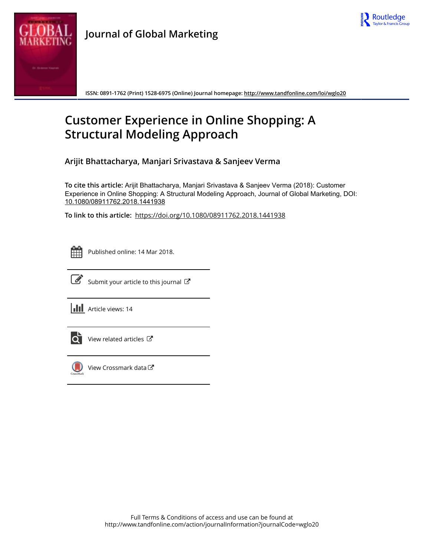

**ISSN: 0891-1762 (Print) 1528-6975 (Online) Journal homepage:<http://www.tandfonline.com/loi/wglo20>**

# **Customer Experience in Online Shopping: A Structural Modeling Approach**

**Arijit Bhattacharya, Manjari Srivastava & Sanjeev Verma**

**To cite this article:** Arijit Bhattacharya, Manjari Srivastava & Sanjeev Verma (2018): Customer Experience in Online Shopping: A Structural Modeling Approach, Journal of Global Marketing, DOI: [10.1080/08911762.2018.1441938](http://www.tandfonline.com/action/showCitFormats?doi=10.1080/08911762.2018.1441938)

**To link to this article:** <https://doi.org/10.1080/08911762.2018.1441938>

|  | - |  |
|--|---|--|
|  |   |  |
|  |   |  |
|  |   |  |

Published online: 14 Mar 2018.



 $\overrightarrow{S}$  [Submit your article to this journal](http://www.tandfonline.com/action/authorSubmission?journalCode=wglo20&show=instructions)  $\overrightarrow{S}$ 

**III** Article views: 14



 $\overline{Q}$  [View related articles](http://www.tandfonline.com/doi/mlt/10.1080/08911762.2018.1441938)  $\overline{C}$ 



[View Crossmark data](http://crossmark.crossref.org/dialog/?doi=10.1080/08911762.2018.1441938&domain=pdf&date_stamp=2018-03-14)  $\sigma$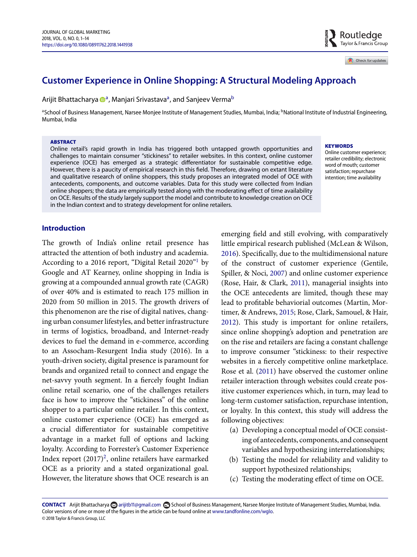# **Customer Experience in Online Shopping: A Structural Modeling Approach**

Arijit Bhattacharya <sup>n</sup>, Manjari Srivastava<sup>a</sup>, and Sanjeev Verma<sup>b</sup>

<span id="page-1-0"></span><sup>a</sup>School of Business Management, Narsee Monjee Institute of Management Studies, Mumbai, India; <sup>b</sup>National Institute of Industrial Engineering, Mumbai, India

#### **ABSTRACT**

Online retail's rapid growth in India has triggered both untapped growth opportunities and challenges to maintain consumer "stickiness" to retailer websites. In this context, online customer experience (OCE) has emerged as a strategic differentiator for sustainable competitive edge. However, there is a paucity of empirical research in this field. Therefore, drawing on extant literature and qualitative research of online shoppers, this study proposes an integrated model of OCE with antecedents, components, and outcome variables. Data for this study were collected from Indian online shoppers; the data are empirically tested along with the moderating effect of time availability on OCE. Results of the study largely support the model and contribute to knowledge creation on OCE in the Indian context and to strategy development for online retailers.

#### <span id="page-1-1"></span>**KEYWORDS**

Online customer experience; retailer credibility; electronic word of mouth; customer satisfaction; repurchase intention; time availability

Routledge Taylor & Francis Group

Check for updates

# **Introduction**

The growth of India's online retail presence has attracted the attention of both industry and academia. According to a 2016 report, "Digital Retail 2020"[1](#page-11-1) by Google and AT Kearney, online shopping in India is growing at a compounded annual growth rate (CAGR) of over 40% and is estimated to reach 175 million in 2020 from 50 million in 2015. The growth drivers of this phenomenon are the rise of digital natives, changing urban consumer lifestyles, and better infrastructure in terms of logistics, broadband, and Internet-ready devices to fuel the demand in e-commerce, according to an Assocham-Resurgent India study (2016). In a youth-driven society, digital presence is paramount for brands and organized retail to connect and engage the net-savvy youth segment. In a fiercely fought Indian online retail scenario, one of the challenges retailers face is how to improve the "stickiness" of the online shopper to a particular online retailer. In this context, online customer experience (OCE) has emerged as a crucial differentiator for sustainable competitive advantage in a market full of options and lacking loyalty. According to Forrester's Customer Experience Index report  $(2017)^2$  $(2017)^2$  $(2017)^2$ , online retailers have earmarked OCE as a priority and a stated organizational goal. However, the literature shows that OCE research is an

<span id="page-1-6"></span><span id="page-1-5"></span><span id="page-1-4"></span><span id="page-1-3"></span><span id="page-1-2"></span>emerging field and still evolving, with comparatively little empirical research published (McLean & Wilson, [2016\)](#page-13-0). Specifically, due to the multidimensional nature of the construct of customer experience (Gentile, Spiller, & Noci, [2007\)](#page-12-0) and online customer experience (Rose, Hair, & Clark, [2011\)](#page-13-1), managerial insights into the OCE antecedents are limited, though these may lead to profitable behaviorial outcomes (Martin, Mortimer, & Andrews, [2015;](#page-13-2) Rose, Clark, Samouel, & Hair, [2012\)](#page-13-3). This study is important for online retailers, since online shopping's adoption and penetration are on the rise and retailers are facing a constant challenge to improve consumer "stickiness: to their respective websites in a fiercely competitive online marketplace. Rose et al. [\(2011\)](#page-13-1) have observed the customer online retailer interaction through websites could create positive customer experiences which, in turn, may lead to long-term customer satisfaction, repurchase intention, or loyalty. In this context, this study will address the following objectives:

- (a) Developing a conceptual model of OCE consisting of antecedents, components, and consequent variables and hypothesizing interrelationships;
- (b) Testing the model for reliability and validity to support hypothesized relationships;
- (c) Testing the moderating effect of time on OCE.

CONTACT Arijit Bhattacharya a arijitb11@gmail.com **and School of Business Management**, Narsee Monjee Institute of Management Studies, Mumbai, India. Color versions of one or more of the figures in the article can be found online at [www.tandfonline.com/wglo.](http://www.tandfonline.com/wglo) © 2018 Taylor & Francis Group, LLC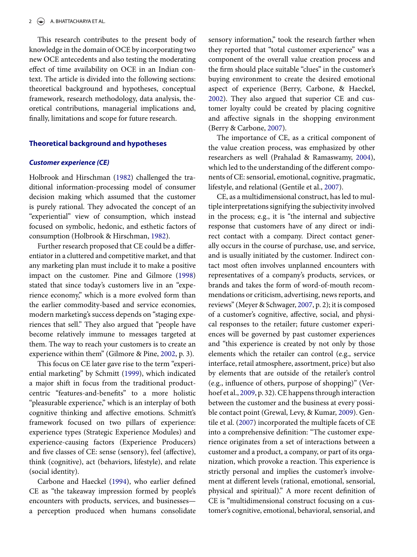This research contributes to the present body of knowledge in the domain of OCE by incorporating two new OCE antecedents and also testing the moderating effect of time availability on OCE in an Indian context. The article is divided into the following sections: theoretical background and hypotheses, conceptual framework, research methodology, data analysis, theoretical contributions, managerial implications and, finally, limitations and scope for future research.

# **Theoretical background and hypotheses**

### *Customer experience (CE)*

<span id="page-2-5"></span>Holbrook and Hirschman [\(1982\)](#page-12-1) challenged the traditional information-processing model of consumer decision making which assumed that the customer is purely rational. They advocated the concept of an "experiential" view of consumption, which instead focused on symbolic, hedonic, and esthetic factors of consumption (Holbrook & Hirschman, [1982\)](#page-12-1).

Further research proposed that CE could be a differentiator in a cluttered and competitive market, and that any marketing plan must include it to make a positive impact on the customer. Pine and Gilmore [\(1998\)](#page-13-4) stated that since today's customers live in an "experience economy," which is a more evolved form than the earlier commodity-based and service economies, modern marketing's success depends on "staging experiences that sell." They also argued that "people have become relatively immune to messages targeted at them. The way to reach your customers is to create an experience within them" (Gilmore & Pine, [2002,](#page-12-2) p. 3).

<span id="page-2-9"></span><span id="page-2-3"></span>This focus on CE later gave rise to the term "experiential marketing" by Schmitt [\(1999\)](#page-13-5), which indicated a major shift in focus from the traditional productcentric "features-and-benefits" to a more holistic "pleasurable experience," which is an interplay of both cognitive thinking and affective emotions. Schmitt's framework focused on two pillars of experience: experience types (Strategic Experience Modules) and experience-causing factors (Experience Producers) and five classes of CE: sense (sensory), feel (affective), think (cognitive), act (behaviors, lifestyle), and relate (social identity).

<span id="page-2-2"></span>Carbone and Haeckel [\(1994\)](#page-11-3), who earlier defined CE as "the takeaway impression formed by people's encounters with products, services, and businesses a perception produced when humans consolidate

sensory information," took the research farther when they reported that "total customer experience" was a component of the overall value creation process and the firm should place suitable "clues" in the customer's buying environment to create the desired emotional aspect of experience (Berry, Carbone, & Haeckel, [2002\)](#page-11-4). They also argued that superior CE and customer loyalty could be created by placing cognitive and affective signals in the shopping environment (Berry & Carbone, [2007\)](#page-11-5).

<span id="page-2-8"></span><span id="page-2-1"></span><span id="page-2-0"></span>The importance of CE, as a critical component of the value creation process, was emphasized by other researchers as well (Prahalad & Ramaswamy, [2004\)](#page-13-6), which led to the understanding of the different components of CE: sensorial, emotional, cognitive, pragmatic, lifestyle, and relational (Gentile et al., [2007\)](#page-12-0).

<span id="page-2-10"></span><span id="page-2-7"></span><span id="page-2-6"></span><span id="page-2-4"></span>CE, as a multidimensional construct, has led to multiple interpretations signifying the subjectivity involved in the process; e.g., it is "the internal and subjective response that customers have of any direct or indirect contact with a company. Direct contact generally occurs in the course of purchase, use, and service, and is usually initiated by the customer. Indirect contact most often involves unplanned encounters with representatives of a company's products, services, or brands and takes the form of word-of-mouth recommendations or criticism, advertising, news reports, and reviews" (Meyer & Schwager, [2007,](#page-13-7) p. 2); it is composed of a customer's cognitive, affective, social, and physical responses to the retailer; future customer experiences will be governed by past customer experiences and "this experience is created by not only by those elements which the retailer can control (e.g., service interface, retail atmosphere, assortment, price) but also by elements that are outside of the retailer's control (e.g., influence of others, purpose of shopping)" (Verhoef et al., [2009,](#page-13-8) p. 32). CE happens through interaction between the customer and the business at every possible contact point (Grewal, Levy, & Kumar, [2009\)](#page-12-3). Gentile et al. [\(2007\)](#page-12-0) incorporated the multiple facets of CE into a comprehensive definition: "The customer experience originates from a set of interactions between a customer and a product, a company, or part of its organization, which provoke a reaction. This experience is strictly personal and implies the customer's involvement at different levels (rational, emotional, sensorial, physical and spiritual)." A more recent definition of CE is "multidimensional construct focusing on a customer's cognitive, emotional, behavioral, sensorial, and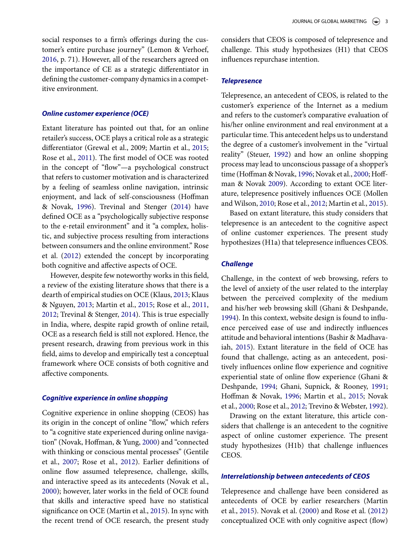<span id="page-3-7"></span>social responses to a firm's offerings during the customer's entire purchase journey" (Lemon & Verhoef, [2016,](#page-12-4) p. 71). However, all of the researchers agreed on the importance of CE as a strategic differentiator in defining the customer-company dynamics in a competitive environment.

# *Online customer experience (OCE)*

Extant literature has pointed out that, for an online retailer's success, OCE plays a critical role as a strategic differentiator (Grewal et al., 2009; Martin et al., [2015;](#page-13-2) Rose et al., [2011\)](#page-13-1). The first model of OCE was rooted in the concept of "flow"—a psychological construct that refers to customer motivation and is characterized by a feeling of seamless online navigation, intrinsic enjoyment, and lack of self-consciousness (Hoffman & Novak, [1996\)](#page-12-5). Trevinal and Stenger [\(2014\)](#page-13-9) have defined OCE as a "psychologically subjective response to the e-retail environment" and it "a complex, holistic, and subjective process resulting from interactions between consumers and the online environment." Rose et al. [\(2012\)](#page-13-3) extended the concept by incorporating both cognitive and affective aspects of OCE.

<span id="page-3-6"></span><span id="page-3-3"></span>However, despite few noteworthy works in this field, a review of the existing literature shows that there is a dearth of empirical studies on OCE (Klaus, [2013;](#page-12-6) Klaus & Nguyen, [2013;](#page-12-7) Martin et al., [2015;](#page-13-2) Rose et al., [2011,](#page-13-1) [2012;](#page-13-3) Trevinal & Stenger, [2014\)](#page-13-9). This is true especially in India, where, despite rapid growth of online retail, OCE as a research field is still not explored. Hence, the present research, drawing from previous work in this field, aims to develop and empirically test a conceptual framework where OCE consists of both cognitive and affective components.

# *Cognitive experience in online shopping*

Cognitive experience in online shopping (CEOS) has its origin in the concept of online "flow," which refers to "a cognitive state experienced during online navigation" (Novak, Hoffman, & Yung, [2000\)](#page-13-10) and "connected with thinking or conscious mental processes" (Gentile et al., [2007;](#page-12-0) Rose et al., [2012\)](#page-13-3). Earlier definitions of online flow assumed telepresence, challenge, skills, and interactive speed as its antecedents (Novak et al., [2000\)](#page-13-10); however, later works in the field of OCE found that skills and interactive speed have no statistical significance on OCE (Martin et al., [2015\)](#page-13-2). In sync with the recent trend of OCE research, the present study considers that CEOS is composed of telepresence and challenge. This study hypothesizes (H1) that CEOS influences repurchase intention.

# *Telepresence*

<span id="page-3-10"></span>Telepresence, an antecedent of CEOS, is related to the customer's experience of the Internet as a medium and refers to the customer's comparative evaluation of his/her online environment and real environment at a particular time. This antecedent helps us to understand the degree of a customer's involvement in the "virtual reality" (Steuer, [1992\)](#page-13-11) and how an online shopping process may lead to unconscious passage of a shopper's time (Hoffman & Novak, [1996;](#page-12-5) Novak et al., [2000;](#page-13-10) Hoffman & Novak [2009\)](#page-12-8). According to extant OCE literature, telepresence positively influences OCE (Mollen and Wilson, [2010;](#page-13-12) Rose et al., [2012;](#page-13-3) Martin et al., [2015\)](#page-13-3).

<span id="page-3-11"></span><span id="page-3-8"></span><span id="page-3-4"></span>Based on extant literature, this study considers that telepresence is an antecedent to the cognitive aspect of online customer experiences. The present study hypothesizes (H1a) that telepresence influences CEOS.

# *Challenge*

<span id="page-3-5"></span><span id="page-3-1"></span><span id="page-3-0"></span>Challenge, in the context of web browsing, refers to the level of anxiety of the user related to the interplay between the perceived complexity of the medium and his/her web browsing skill (Ghani & Deshpande, [1994\)](#page-12-9). In this context, website design is found to influence perceived ease of use and indirectly influences attitude and behavioral intentions (Bashir & Madhavaiah, [2015\)](#page-11-6). Extant literature in the field of OCE has found that challenge, acting as an antecedent, positively influences online flow experience and cognitive experiential state of online flow experience (Ghani & Deshpande, [1994;](#page-12-9) Ghani, Supnick, & Rooney, [1991;](#page-12-10) Hoffman & Novak, [1996;](#page-12-5) Martin et al., [2015;](#page-13-2) Novak et al., [2000;](#page-13-10) Rose et al., [2012;](#page-13-3) Trevino & Webster, [1992\)](#page-13-13).

<span id="page-3-12"></span><span id="page-3-9"></span><span id="page-3-2"></span>Drawing on the extant literature, this article considers that challenge is an antecedent to the cognitive aspect of online customer experience. The present study hypothesizes (H1b) that challenge influences CEOS.

#### *Interrelationship between antecedents of CEOS*

Telepresence and challenge have been considered as antecedents of OCE by earlier researchers (Martin et al., [2015\)](#page-13-2). Novak et al. [\(2000\)](#page-13-10) and Rose et al. [\(2012\)](#page-13-3) conceptualized OCE with only cognitive aspect (flow)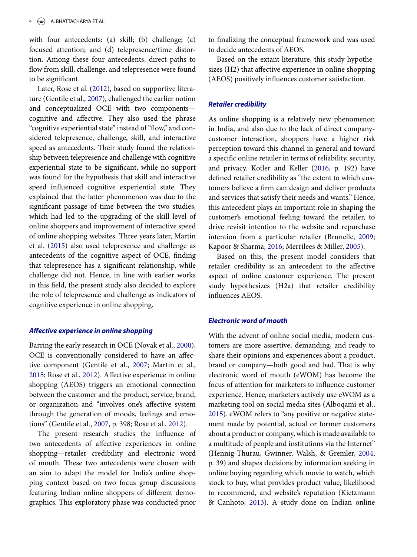with four antecedents: (a) skill; (b) challenge; (c) focused attention; and (d) telepresence/time distortion. Among these four antecedents, direct paths to flow from skill, challenge, and telepresence were found to be significant.

Later, Rose et al. [\(2012\)](#page-13-3), based on supportive literature (Gentile et al., [2007\)](#page-12-0), challenged the earlier notion and conceptualized OCE with two components cognitive and affective. They also used the phrase "cognitive experiential state" instead of "flow," and considered telepresence, challenge, skill, and interactive speed as antecedents. Their study found the relationship between telepresence and challenge with cognitive experiential state to be significant, while no support was found for the hypothesis that skill and interactive speed influenced cognitive experiential state. They explained that the latter phenomenon was due to the significant passage of time between the two studies, which had led to the upgrading of the skill level of online shoppers and improvement of interactive speed of online shopping websites. Three years later, Martin et al. [\(2015\)](#page-13-2) also used telepresence and challenge as antecedents of the cognitive aspect of OCE, finding that telepresence has a significant relationship, while challenge did not. Hence, in line with earlier works in this field, the present study also decided to explore the role of telepresence and challenge as indicators of cognitive experience in online shopping.

#### *Affective experience in online shopping*

Barring the early research in OCE (Novak et al., [2000\)](#page-13-10), OCE is conventionally considered to have an affective component (Gentile et al., [2007;](#page-12-0) Martin et al., [2015;](#page-13-2) Rose et al., [2012\)](#page-13-3). Affective experience in online shopping (AEOS) triggers an emotional connection between the customer and the product, service, brand, or organization and "involves one's affective system through the generation of moods, feelings and emotions" (Gentile et al., [2007,](#page-12-0) p. 398; Rose et al., [2012\)](#page-13-3).

The present research studies the influence of two antecedents of affective experiences in online shopping—retailer credibility and electronic word of mouth. These two antecedents were chosen with an aim to adapt the model for India's online shopping context based on two focus group discussions featuring Indian online shoppers of different demographics. This exploratory phase was conducted prior

to finalizing the conceptual framework and was used to decide antecedents of AEOS.

Based on the extant literature, this study hypothesizes (H2) that affective experience in online shopping (AEOS) positively influences customer satisfaction.

### *Retailer credibility*

<span id="page-4-5"></span>As online shopping is a relatively new phenomenon in India, and also due to the lack of direct companycustomer interaction, shoppers have a higher risk perception toward this channel in general and toward a specific online retailer in terms of reliability, security, and privacy. Kotler and Keller [\(2016,](#page-12-11) p. 192) have defined retailer credibility as "the extent to which customers believe a firm can design and deliver products and services that satisfy their needs and wants." Hence, this antecedent plays an important role in shaping the customer's emotional feeling toward the retailer, to drive revisit intention to the website and repurchase intention from a particular retailer (Brunelle, [2009;](#page-11-7) Kapoor & Sharma, [2016;](#page-12-12) Merrilees & Miller, [2005\)](#page-13-14).

<span id="page-4-6"></span><span id="page-4-3"></span><span id="page-4-1"></span>Based on this, the present model considers that retailer credibility is an antecedent to the affective aspect of online customer experience. The present study hypothesizes (H2a) that retailer credibility influences AEOS.

# *Electronic word of mouth*

<span id="page-4-4"></span><span id="page-4-2"></span><span id="page-4-0"></span>With the advent of online social media, modern customers are more assertive, demanding, and ready to share their opinions and experiences about a product, brand or company—both good and bad. That is why electronic word of mouth (eWOM) has become the focus of attention for marketers to influence customer experience. Hence, marketers actively use eWOM as a marketing tool on social media sites (Alboqami et al., [2015\)](#page-11-8). eWOM refers to "any positive or negative statement made by potential, actual or former customers about a product or company, which is made available to a multitude of people and institutions via the Internet" (Hennig-Thurau, Gwinner, Walsh, & Gremler, [2004,](#page-12-13) p. 39) and shapes decisions by information seeking in online buying regarding which movie to watch, which stock to buy, what provides product value, likelihood to recommend, and website's reputation (Kietzmann & Canhoto, [2013\)](#page-12-14). A study done on Indian online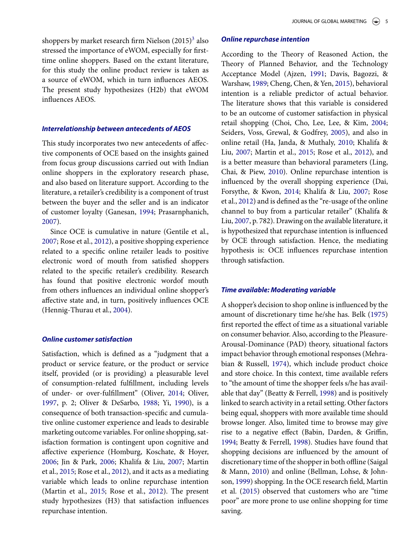shoppers by market research firm Nielson  $(2015)^3$  $(2015)^3$  also stressed the importance of eWOM, especially for firsttime online shoppers. Based on the extant literature, for this study the online product review is taken as a source of eWOM, which in turn influences AEOS. The present study hypothesizes (H2b) that eWOM influences AEOS.

# *Interrelationship between antecedents of AEOS*

This study incorporates two new antecedents of affective components of OCE based on the insights gained from focus group discussions carried out with Indian online shoppers in the exploratory research phase, and also based on literature support. According to the literature, a retailer's credibility is a component of trust between the buyer and the seller and is an indicator of customer loyalty (Ganesan, [1994;](#page-12-15) Prasarnphanich, [2007\)](#page-13-15).

<span id="page-5-19"></span><span id="page-5-9"></span>Since OCE is cumulative in nature (Gentile et al., [2007;](#page-12-0) Rose et al., [2012\)](#page-13-3), a positive shopping experience related to a specific online retailer leads to positive electronic word of mouth from satisfied shoppers related to the specific retailer's credibility. Research has found that positive electronic wordof mouth from others influences an individual online shopper's affective state and, in turn, positively influences OCE (Hennig-Thurau et al., [2004\)](#page-12-13).

## *Online customer satisfaction*

<span id="page-5-18"></span><span id="page-5-16"></span><span id="page-5-12"></span><span id="page-5-11"></span>Satisfaction, which is defined as a "judgment that a product or service feature, or the product or service itself, provided (or is providing) a pleasurable level of consumption-related fulfillment, including levels of under- or over-fulfillment" (Oliver, [2014;](#page-13-16) Oliver, [1997,](#page-13-17) p. 2; Oliver & DeSarbo, [1988;](#page-13-18) Yi, [1990\)](#page-13-19), is a consequence of both transaction-specific and cumulative online customer experience and leads to desirable marketing outcome variables. For online shopping, satisfaction formation is contingent upon cognitive and affective experience (Homburg, Koschate, & Hoyer, [2006;](#page-12-16) Jin & Park, [2006;](#page-12-17) Khalifa & Liu, [2007;](#page-12-18) Martin et al., [2015;](#page-13-2) Rose et al., [2012\)](#page-13-3), and it acts as a mediating variable which leads to online repurchase intention (Martin et al., [2015;](#page-13-2) Rose et al., [2012\)](#page-13-3). The present study hypothesizes (H3) that satisfaction influences repurchase intention.

# *Online repurchase intention*

<span id="page-5-21"></span><span id="page-5-14"></span><span id="page-5-10"></span><span id="page-5-8"></span><span id="page-5-6"></span><span id="page-5-5"></span><span id="page-5-0"></span>According to the Theory of Reasoned Action, the Theory of Planned Behavior, and the Technology Acceptance Model (Ajzen, [1991;](#page-11-10) Davis, Bagozzi, & Warshaw, [1989;](#page-11-11) Cheng, Chen, & Yen, [2015\)](#page-11-12), behavioral intention is a reliable predictor of actual behavior. The literature shows that this variable is considered to be an outcome of customer satisfaction in physical retail shopping (Choi, Cho, Lee, Lee, & Kim, [2004;](#page-11-13) Seiders, Voss, Grewal, & Godfrey, [2005\)](#page-13-20), and also in online retail (Ha, Janda, & Muthaly, [2010;](#page-12-19) Khalifa & Liu, [2007;](#page-12-18) Martin et al., [2015;](#page-13-2) Rose et al., [2012\)](#page-13-3), and is a better measure than behavioral parameters (Ling, Chai, & Piew, [2010\)](#page-12-20). Online repurchase intention is influenced by the overall shopping experience (Dai, Forsythe, & Kwon, [2014;](#page-11-14) Khalifa & Liu, [2007;](#page-12-18) Rose et al., [2012\)](#page-13-3) and is defined as the "re-usage of the online channel to buy from a particular retailer" (Khalifa & Liu, [2007,](#page-12-18) p. 782). Drawing on the available literature, it is hypothesized that repurchase intention is influenced by OCE through satisfaction. Hence, the mediating hypothesis is: OCE influences repurchase intention through satisfaction.

# <span id="page-5-7"></span>*Time available: Moderating variable*

<span id="page-5-22"></span><span id="page-5-20"></span><span id="page-5-17"></span><span id="page-5-15"></span><span id="page-5-13"></span><span id="page-5-4"></span><span id="page-5-3"></span><span id="page-5-2"></span><span id="page-5-1"></span>A shopper's decision to shop online is influenced by the amount of discretionary time he/she has. Belk [\(1975\)](#page-11-15) first reported the effect of time as a situational variable on consumer behavior. Also, according to the Pleasure-Arousal-Dominance (PAD) theory, situational factors impact behavior through emotional responses (Mehrabian & Russell, [1974\)](#page-13-21), which include product choice and store choice. In this context, time available refers to "the amount of time the shopper feels s/he has available that day" (Beatty & Ferrell, [1998\)](#page-11-16) and is positively linked to search activity in a retail setting. Other factors being equal, shoppers with more available time should browse longer. Also, limited time to browse may give rise to a negative effect (Babin, Darden, & Griffin, [1994;](#page-11-17) Beatty & Ferrell, [1998\)](#page-11-16). Studies have found that shopping decisions are influenced by the amount of discretionary time of the shopper in both offline (Saigal & Mann, [2010\)](#page-13-22) and online (Bellman, Lohse, & Johnson, [1999\)](#page-11-18) shopping. In the OCE research field, Martin et al. [\(2015\)](#page-13-2) observed that customers who are "time poor" are more prone to use online shopping for time saving.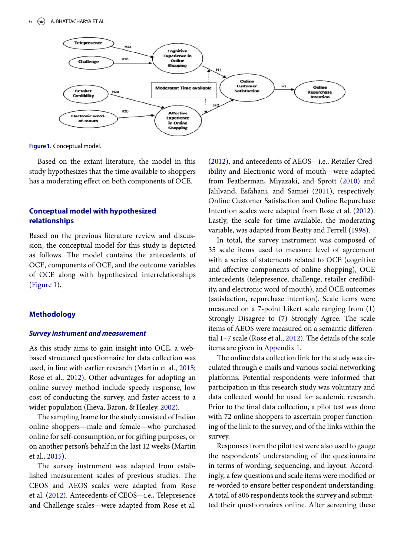<span id="page-6-0"></span>

Figure 1. Conceptual model.

Based on the extant literature, the model in this study hypothesizes that the time available to shoppers has a moderating effect on both components of OCE.

# **Conceptual model with hypothesized relationships**

Based on the previous literature review and discussion, the conceptual model for this study is depicted as follows. The model contains the antecedents of OCE, components of OCE, and the outcome variables of OCE along with hypothesized interrelationships [\(Figure 1\)](#page-6-0).

#### **Methodology**

#### *Survey instrument and measurement*

As this study aims to gain insight into OCE, a webbased structured questionnaire for data collection was used, in line with earlier research (Martin et al., [2015;](#page-13-2) Rose et al., [2012\)](#page-13-3). Other advantages for adopting an online survey method include speedy response, low cost of conducting the survey, and faster access to a wider population (Ilieva, Baron, & Healey, [2002\)](#page-12-21).

The sampling frame for the study consisted of Indian online shoppers—male and female—who purchased online for self-consumption, or for gifting purposes, or on another person's behalf in the last 12 weeks (Martin et al., [2015\)](#page-13-2).

The survey instrument was adapted from established measurement scales of previous studies. The CEOS and AEOS scales were adapted from Rose et al. [\(2012\)](#page-13-3). Antecedents of CEOS—i.e., Telepresence and Challenge scales—were adapted from Rose et al. <span id="page-6-3"></span><span id="page-6-1"></span>[\(2012\)](#page-13-3), and antecedents of AEOS—i.e., Retailer Credibility and Electronic word of mouth—were adapted from Featherman, Miyazaki, and Sprott [\(2010\)](#page-11-19) and Jalilvand, Esfahani, and Samiei [\(2011\)](#page-12-22), respectively. Online Customer Satisfaction and Online Repurchase Intention scales were adapted from Rose et al. [\(2012\)](#page-13-3). Lastly, the scale for time available, the moderating variable, was adapted from Beatty and Ferrell [\(1998\)](#page-11-16).

In total, the survey instrument was composed of 35 scale items used to measure level of agreement with a series of statements related to OCE (cognitive and affective components of online shopping), OCE antecedents (telepresence, challenge, retailer credibility, and electronic word of mouth), and OCE outcomes (satisfaction, repurchase intention). Scale items were measured on a 7-point Likert scale ranging from (1) Strongly Disagree to (7) Strongly Agree. The scale items of AEOS were measured on a semantic differential 1–7 scale (Rose et al., [2012\)](#page-13-3). The details of the scale items are given in Appendix 1.

The online data collection link for the study was circulated through e-mails and various social networking platforms. Potential respondents were informed that participation in this research study was voluntary and data collected would be used for academic research. Prior to the final data collection, a pilot test was done with 72 online shoppers to ascertain proper functioning of the link to the survey, and of the links within the survey.

<span id="page-6-2"></span>Responses from the pilot test were also used to gauge the respondents' understanding of the questionnaire in terms of wording, sequencing, and layout. Accordingly, a few questions and scale items were modified or re-worded to ensure better respondent understanding. A total of 806 respondents took the survey and submitted their questionnaires online. After screening these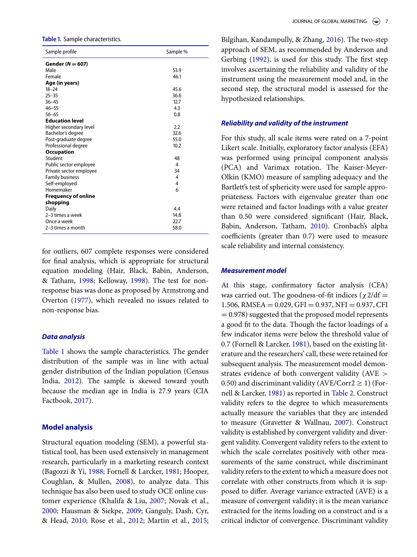<span id="page-7-0"></span>

| Table 1. Sample characteristics. |  |
|----------------------------------|--|
|                                  |  |

| Sample profile             | Sample % |
|----------------------------|----------|
| Gender ( $N = 607$ )       |          |
| Male                       | 53.9     |
| Female                     | 46.1     |
| Age (in years)             |          |
| $18 - 24$                  | 45.6     |
| $25 - 35$                  | 36.6     |
| $36 - 45$                  | 12.7     |
| $46 - 55$                  | 4.3      |
| $56 - 65$                  | 0.8      |
| <b>Education level</b>     |          |
| Higher secondary level     | 2.2      |
| Bachelor's degree          | 32.6     |
| Post-graduate degree       | 55.0     |
| Professional degree        | 10.2     |
| <b>Occupation</b>          |          |
| Student                    | 48       |
| Public sector employee     | 4        |
| Private sector employee    | 34       |
| <b>Family business</b>     | 4        |
| Self-employed              | 4        |
| Homemaker                  | 6        |
| <b>Frequency of online</b> |          |
| shopping                   |          |
| Daily                      | 4.4      |
| 2–3 times a week           | 14.8     |
| Once a week                | 22.7     |
| 2–3 times a month          | 58.0     |

<span id="page-7-10"></span>for outliers, 607 complete responses were considered for final analysis, which is appropriate for structural equation modeling (Hair, Black, Babin, Anderson, & Tatham, [1998;](#page-12-23) Kelloway, [1998\)](#page-12-24). The test for nonresponse bias was done as proposed by Armstrong and Overton [\(1977\)](#page-11-20), which revealed no issues related to non-response bias.

#### <span id="page-7-2"></span>*Data analysis*

<span id="page-7-5"></span>[Table 1](#page-7-0) shows the sample characteristics. The gender distribution of the sample was in line with actual gender distribution of the Indian population (Census India, [2012\)](#page-11-21). The sample is skewed toward youth because the median age in India is 27.9 years (CIA Factbook, [2017\)](#page-11-22).

#### <span id="page-7-6"></span>**Model analysis**

<span id="page-7-13"></span><span id="page-7-12"></span><span id="page-7-8"></span><span id="page-7-7"></span><span id="page-7-3"></span>Structural equation modeling (SEM), a powerful statistical tool, has been used extensively in management research, particularly in a marketing research context (Bagozzi & Yi, [1988;](#page-11-23) Fornell & Larcker, [1981;](#page-11-24) Hooper, Coughlan, & Mullen, [2008\)](#page-12-25), to analyze data. This technique has also been used to study OCE online customer experience (Khalifa & Liu, [2007;](#page-12-18) Novak et al., [2000;](#page-13-10) Hausman & Siekpe, [2009;](#page-12-26) Ganguly, Dash, Cyr, & Head, [2010;](#page-12-27) Rose et al., [2012;](#page-13-3) Martin et al., [2015;](#page-13-2)

<span id="page-7-4"></span><span id="page-7-1"></span>Bilgihan, Kandampully, & Zhang, [2016\)](#page-11-25). The two-step approach of SEM, as recommended by Anderson and Gerbing [\(1992\)](#page-11-26), is used for this study. The first step involves ascertaining the reliability and validity of the instrument using the measurement model and, in the second step, the structural model is assessed for the hypothesized relationships.

# *Reliability and validity of the instrument*

For this study, all scale items were rated on a 7-point Likert scale. Initially, exploratory factor analysis (EFA) was performed using principal component analysis (PCA) and Varimax rotation. The Kaiser-Meyer-Olkin (KMO) measure of sampling adequacy and the Bartlett's test of sphericity were used for sample appropriateness. Factors with eigenvalue greater than one were retained and factor loadings with a value greater than 0.50 were considered significant (Hair, Black, Babin, Anderson, Tatham, [2010\)](#page-12-28). Cronbach's alpha coefficients (greater than 0.7) were used to measure scale reliability and internal consistency.

# <span id="page-7-11"></span>*Measurement model*

<span id="page-7-14"></span><span id="page-7-9"></span>At this stage, confirmatory factor analysis (CFA) was carried out. The goodness-of-fit indices  $(\chi 2/df =$  $1.506$ , RMSEA = 0.029, GFI = 0.937, NFI = 0.937, CFI  $= 0.978$ ) suggested that the proposed model represents a good fit to the data. Though the factor loadings of a few indicator items were below the threshold value of 0.7 (Fornell & Larcker, [1981\)](#page-11-24), based on the existing literature and the researchers' call, these were retained for subsequent analysis. The measurement model demonstrates evidence of both convergent validity (AVE > 0.50) and discriminant validity (AVE/Corr $2 \ge 1$ ) (Fornell & Larcker, [1981\)](#page-11-24) as reported in [Table 2.](#page-8-0) Construct validity refers to the degree to which measurements actually measure the variables that they are intended to measure (Gravetter & Wallnau, [2007\)](#page-12-29). Construct validity is established by convergent validity and divergent validity. Convergent validity refers to the extent to which the scale correlates positively with other measurements of the same construct, while discriminant validity refers to the extent to which a measure does not correlate with other constructs from which it is supposed to differ. Average variance extracted (AVE) is a measure of convergent validity; it is the mean variance extracted for the items loading on a construct and is a critical indictor of convergence. Discriminant validity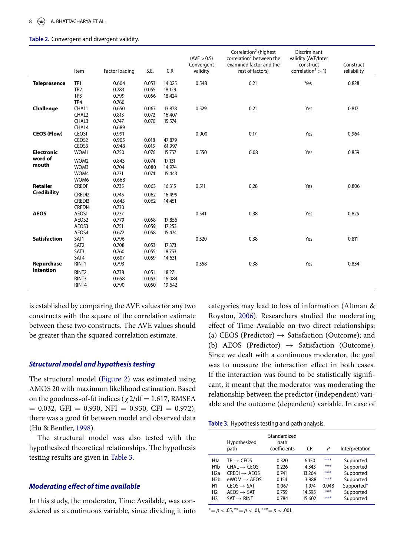#### <span id="page-8-0"></span>Table 2. Convergent and divergent validity.

|                     | Item                   | <b>Factor loading</b> | S.E.           | C.R.             | (AVE > 0.5)<br>Convergent<br>validity | Correlation <sup>2</sup> (highest<br>correlation <sup>2</sup> between the<br>examined factor and the<br>rest of factors) | Discriminant<br>validity (AVE/Inter<br>construct<br>correlation <sup>2</sup> > 1) | Construct<br>reliability |
|---------------------|------------------------|-----------------------|----------------|------------------|---------------------------------------|--------------------------------------------------------------------------------------------------------------------------|-----------------------------------------------------------------------------------|--------------------------|
| <b>Telepresence</b> | TP1                    | 0.604                 | 0.053          | 14.025           | 0.548                                 | 0.21                                                                                                                     | Yes                                                                               | 0.828                    |
|                     | TP <sub>2</sub><br>TP3 | 0.783<br>0.799        | 0.055<br>0.056 | 18.129<br>18.424 |                                       |                                                                                                                          |                                                                                   |                          |
|                     | TP4                    | 0.760                 |                |                  |                                       |                                                                                                                          |                                                                                   |                          |
| Challenge           | CHAL1                  | 0.650                 | 0.067          | 13.878           | 0.529                                 | 0.21                                                                                                                     | Yes                                                                               | 0.817                    |
|                     | CHAL <sub>2</sub>      | 0.813                 | 0.072          | 16.407           |                                       |                                                                                                                          |                                                                                   |                          |
|                     | CHAL3                  | 0.747                 | 0.070          | 15.574           |                                       |                                                                                                                          |                                                                                   |                          |
| <b>CEOS (Flow)</b>  | CHAL4<br>CEOS1         | 0.689<br>0.991        |                |                  | 0.900                                 | 0.17                                                                                                                     | Yes                                                                               | 0.964                    |
|                     | CEOS2                  | 0.905                 | 0.018          | 47.879           |                                       |                                                                                                                          |                                                                                   |                          |
|                     | CEOS3                  | 0.948                 | 0.015          | 61.997           |                                       |                                                                                                                          |                                                                                   |                          |
| <b>Electronic</b>   | WOM1                   | 0.750                 | 0.076          | 15.757           | 0.550                                 | 0.08                                                                                                                     | Yes                                                                               | 0.859                    |
| word of             |                        |                       | 0.074          | 17.131           |                                       |                                                                                                                          |                                                                                   |                          |
| mouth               | WOM2<br>WOM3           | 0.843<br>0.704        | 0.080          | 14.974           |                                       |                                                                                                                          |                                                                                   |                          |
|                     | WOM4                   | 0.731                 | 0.074          | 15.443           |                                       |                                                                                                                          |                                                                                   |                          |
|                     | WOM6                   | 0.668                 |                |                  |                                       |                                                                                                                          |                                                                                   |                          |
| <b>Retailer</b>     | CREDI1                 | 0.735                 | 0.063          | 16.315           | 0.511                                 | 0.28                                                                                                                     | Yes                                                                               | 0.806                    |
| <b>Credibility</b>  | CREDI2                 | 0.745                 | 0.062          | 16.499           |                                       |                                                                                                                          |                                                                                   |                          |
|                     | CRED <sub>13</sub>     | 0.645                 | 0.062          | 14.451           |                                       |                                                                                                                          |                                                                                   |                          |
|                     | CREDI4                 | 0.730                 |                |                  |                                       |                                                                                                                          |                                                                                   |                          |
| <b>AEOS</b>         | AEOS1                  | 0.737                 |                |                  | 0.541                                 | 0.38                                                                                                                     | Yes                                                                               | 0.825                    |
|                     | AEOS2                  | 0.779                 | 0.058          | 17.856           |                                       |                                                                                                                          |                                                                                   |                          |
|                     | AEOS3                  | 0.751                 | 0.059          | 17.253           |                                       |                                                                                                                          |                                                                                   |                          |
|                     | AEOS4                  | 0.672                 | 0.058          | 15.474           |                                       |                                                                                                                          |                                                                                   |                          |
| <b>Satisfaction</b> | SAT1                   | 0.796                 |                |                  | 0.520                                 | 0.38                                                                                                                     | Yes                                                                               | 0.811                    |
|                     | SAT <sub>2</sub>       | 0.708                 | 0.053          | 17.373           |                                       |                                                                                                                          |                                                                                   |                          |
|                     | SAT3                   | 0.760                 | 0.055          | 18.753           |                                       |                                                                                                                          |                                                                                   |                          |
|                     | SAT4                   | 0.607                 | 0.059          | 14.631           |                                       |                                                                                                                          |                                                                                   |                          |
| Repurchase          | RINT1                  | 0.793                 |                |                  | 0.558                                 | 0.38                                                                                                                     | Yes                                                                               | 0.834                    |
| <b>Intention</b>    | RINT <sub>2</sub>      | 0.738                 | 0.051          | 18.271           |                                       |                                                                                                                          |                                                                                   |                          |
|                     | RINT3                  | 0.658                 | 0.053          | 16.084           |                                       |                                                                                                                          |                                                                                   |                          |
|                     | RINT4                  | 0.790                 | 0.050          | 19.642           |                                       |                                                                                                                          |                                                                                   |                          |

is established by comparing the AVE values for any two constructs with the square of the correlation estimate between these two constructs. The AVE values should be greater than the squared correlation estimate.

## *Structural model and hypothesis testing*

The structural model [\(Figure 2\)](#page-9-0) was estimated using AMOS 20 with maximum likelihood estimation. Based on the goodness-of-fit indices ( $\chi$ 2/df = 1.617, RMSEA  $= 0.032$ , GFI  $= 0.930$ , NFI  $= 0.930$ , CFI  $= 0.972$ ), there was a good fit between model and observed data (Hu & Bentler, [1998\)](#page-12-30).

<span id="page-8-5"></span>The structural model was also tested with the hypothesized theoretical relationships. The hypothesis testing results are given in [Table 3.](#page-8-1)

# *Moderating effect of time available*

In this study, the moderator, Time Available, was considered as a continuous variable, since dividing it into

<span id="page-8-4"></span>categories may lead to loss of information (Altman & Royston, [2006\)](#page-11-27). Researchers studied the moderating effect of Time Available on two direct relationships: (a) CEOS (Predictor)  $\rightarrow$  Satisfaction (Outcome); and (b) AEOS (Predictor)  $\rightarrow$  Satisfaction (Outcome). Since we dealt with a continuous moderator, the goal was to measure the interaction effect in both cases. If the interaction was found to be statistically significant, it meant that the moderator was moderating the relationship between the predictor (independent) variable and the outcome (dependent) variable. In case of

<span id="page-8-1"></span>Table 3. Hypothesis testing and path analysis.

|                  | Hypothesized<br>path       | Standardized<br>path<br>coefficients | <b>CR</b> | P     | Interpretation |
|------------------|----------------------------|--------------------------------------|-----------|-------|----------------|
| H <sub>1</sub> a | $TP \rightarrow$ CEOS      | 0.320                                | 6.150     | ***   | Supported      |
| H <sub>1</sub> b | $CHAI \rightarrow CFOS$    | 0.226                                | 4.343     | ***   | Supported      |
| H2a              | $CREDI \rightarrow AEOS$   | 0.741                                | 13.264    | ***   | Supported      |
| H2b              | $e$ WOM $\rightarrow$ AEOS | 0.154                                | 3.988     | ***   | Supported      |
| H1               | $CEOS \rightarrow SAT$     | 0.067                                | 1.974     | 0.048 | Supported*     |
| H <sub>2</sub>   | $AEOS \rightarrow SAT$     | 0.759                                | 14.595    | ***   | Supported      |
| H <sub>3</sub>   | $SAT \rightarrow RINT$     | 0.784                                | 15.602    | ***   | Supported      |

<span id="page-8-3"></span><span id="page-8-2"></span> $* = p < .05, ** = p < .01, ** = p < .001.$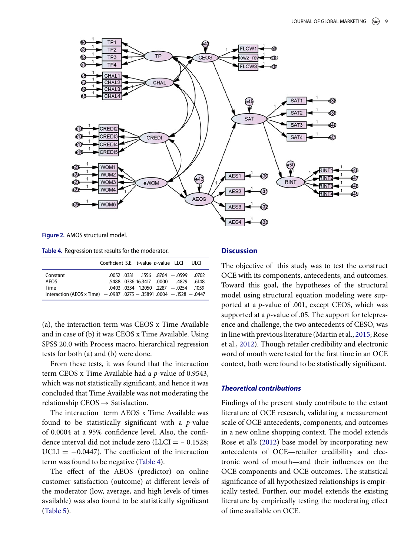<span id="page-9-0"></span>

Figure 2. AMOS structural model.

<span id="page-9-1"></span>Table 4. Regression test results for the moderator.

|                                                                                                        | Coefficient S.E. t-value p-value LLCI                                                                                       | - ULCI |
|--------------------------------------------------------------------------------------------------------|-----------------------------------------------------------------------------------------------------------------------------|--------|
| Constant<br>AEOS<br>Time<br>Interaction (AEOS x Time) $-.0987$ .0275 $-.35891$ .0004 $-.1528$ $-.0447$ | 0702. 0599. 8764. 1556. 0599. 0702.<br>.5488 .0336 16.3417 .0000 .4829<br>$.0403$ $.0334$ $1.2050$ $.2287$ $-.0254$ $.1059$ | .6148  |

(a), the interaction term was CEOS x Time Available and in case of (b) it was CEOS x Time Available. Using SPSS 20.0 with Process macro, hierarchical regression tests for both (a) and (b) were done[.](#page-9-1)

From these tests, it was found that the interaction term CEOS x Time Available had a *p*-value of 0.9543, which was not statistically significant, and hence it was concluded that Time Available was not moderating the relationship  $CEOS \rightarrow$  Satisfaction.

The interaction term AEOS x Time Available was found to be statistically significant with a *p-*value of 0.0004 at a 95% confidence level. Also, the confidence interval did not include zero (LLCI  $=$   $-$  0.1528; UCLI =  $-0.0447$ ). The coefficient of the interaction term was found to be negative (Table 4).

The effect of the AEOS (predictor) on online customer satisfaction (outcome) at different levels of the moderator (low, average, and high levels of times available) was also found to be statistically significant [\(Table 5\)](#page-10-0).

# **Discussion**

The objective of this study was to test the construct OCE with its components, antecedents, and outcomes. Toward this goal, the hypotheses of the structural model using structural equation modeling were supported at a *p*-value of .001, except CEOS, which was supported at a *p*-value of .05. The support for telepresence and challenge, the two antecedents of CESO, was in line with previous literature (Martin et al., [2015;](#page-13-2) Rose et al., [2012\)](#page-13-3). Though retailer credibility and electronic word of mouth were tested for the first time in an OCE context, both were found to be statistically significant.

# *Theoretical contributions*

Findings of the present study contribute to the extant literature of OCE research, validating a measurement scale of OCE antecedents, components, and outcomes in a new online shopping context. The model extends Rose et al.'s [\(2012\)](#page-13-3) base model by incorporating new antecedents of OCE—retailer credibility and electronic word of mouth—and their influences on the OCE components and OCE outcomes. The statistical significance of all hypothesized relationships is empirically tested. Further, our model extends the existing literature by empirically testing the moderating effect of time available on OCE.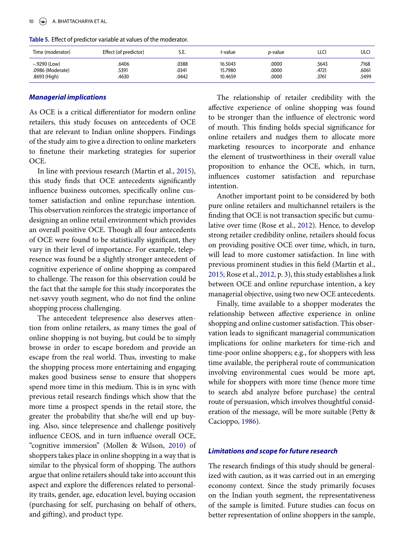<span id="page-10-0"></span>

| Table 5. Effect of predictor variable at values of the moderator. |  |  |  |
|-------------------------------------------------------------------|--|--|--|
|                                                                   |  |  |  |

| Time (moderator) | Effect (of predictor) | ◡.∟.  | t-value | <i>p</i> -value | LLCI  | ulci  |
|------------------|-----------------------|-------|---------|-----------------|-------|-------|
| $-.9290$ (Low)   | .6406                 | .0388 | 16.5043 | .0000           | .5643 | .7168 |
| .0986 (Moderate) | .5391                 | .0341 | 15.7980 | .0000           | .4721 | .6061 |
| .8693 (High)     | 4630                  | .0442 | 10.4659 | .0000           | .3761 | .5499 |

#### *Managerial implications*

As OCE is a critical differentiator for modern online retailers, this study focuses on antecedents of OCE that are relevant to Indian online shoppers. Findings of the study aim to give a direction to online marketers to finetune their marketing strategies for superior OCE.

In line with previous research (Martin et al., [2015\)](#page-13-2), this study finds that OCE antecedents significantly influence business outcomes, specifically online customer satisfaction and online repurchase intention. This observation reinforces the strategic importance of designing an online retail environment which provides an overall positive OCE. Though all four antecedents of OCE were found to be statistically significant, they vary in their level of importance. For example, telepresence was found be a slightly stronger antecedent of cognitive experience of online shopping as compared to challenge. The reason for this observation could be the fact that the sample for this study incorporates the net-savvy youth segment, who do not find the online shopping process challenging.

The antecedent telepresence also deserves attention from online retailers, as many times the goal of online shopping is not buying, but could be to simply browse in order to escape boredom and provide an escape from the real world. Thus, investing to make the shopping process more entertaining and engaging makes good business sense to ensure that shoppers spend more time in this medium. This is in sync with previous retail research findings which show that the more time a prospect spends in the retail store, the greater the probability that she/he will end up buying. Also, since telepresence and challenge positively influence CEOS, and in turn influence overall OCE, "cognitive immersion" (Mollen & Wilson, [2010\)](#page-13-12) of shoppers takes place in online shopping in a way that is similar to the physical form of shopping. The authors argue that online retailers should take into account this aspect and explore the differences related to personality traits, gender, age, education level, buying occasion (purchasing for self, purchasing on behalf of others, and gifting), and product type.

The relationship of retailer credibility with the affective experience of online shopping was found to be stronger than the influence of electronic word of mouth. This finding holds special significance for online retailers and nudges them to allocate more marketing resources to incorporate and enhance the element of trustworthiness in their overall value proposition to enhance the OCE, which, in turn, influences customer satisfaction and repurchase intention.

Another important point to be considered by both pure online retailers and multichannel retailers is the finding that OCE is not transaction specific but cumulative over time (Rose et al., [2012\)](#page-13-3). Hence, to develop strong retailer credibility online, retailers should focus on providing positive OCE over time, which, in turn, will lead to more customer satisfaction. In line with previous prominent studies in this field (Martin et al., [2015;](#page-13-2) Rose et al., [2012,](#page-13-3) p. 3), this study establishes a link between OCE and online repurchase intention, a key managerial objective, using two new OCE antecedents.

Finally, time available to a shopper moderates the relationship between affective experience in online shopping and online customer satisfaction. This observation leads to significant managerial communication implications for online marketers for time-rich and time-poor online shoppers; e.g., for shoppers with less time available, the peripheral route of communication involving environmental cues would be more apt, while for shoppers with more time (hence more time to search abd analyze before purchase) the central route of persuasion, which involves thoughtful consideration of the message, will be more suitable (Petty & Cacioppo, [1986\)](#page-13-23).

#### <span id="page-10-1"></span>*Limitations and scope for future research*

The research findings of this study should be generalized with caution, as it was carried out in an emerging economy context. Since the study primarily focuses on the Indian youth segment, the representativeness of the sample is limited. Future studies can focus on better representation of online shoppers in the sample,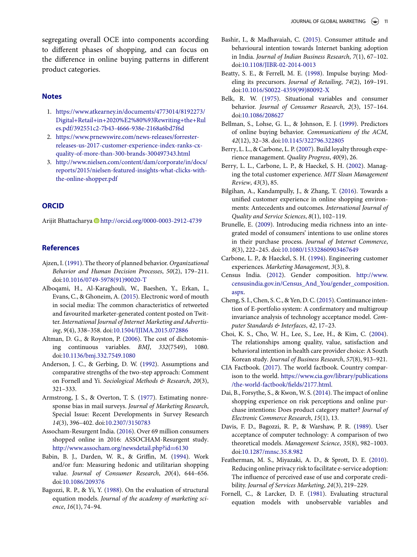segregating overall OCE into components according to different phases of shopping, and can focus on the difference in online buying patterns in different product categories.

# **Notes**

- <span id="page-11-1"></span>1. https://www.atkearney.in/documents/4773014/8192273/ [Digital+Retail+in+2020%E2%80%93Rewriting+the+Rul](https://www.atkearney.in/documents/4773014/8192273/Digital+Retail+in+2020%E2%80%93Rewriting+the+Rules.pdf/392551c2-7b43-4666-938e-2168a6bd7f6d) es.pdf/392551c2-7b43-4666-938e-2168a6bd7f6d
- <span id="page-11-2"></span>2. https://www.prnewswire.com/news-releases/forrester[releases-us-2017-customer-experience-index-ranks-cx](https://www.prnewswire.com/news-releases/forrester-releases-us-2017-customer-experience-index-ranks-cx-quality-of-more-than-300-brands-300497343.html)quality-of-more-than-300-brands-300497343.html
- <span id="page-11-9"></span>3. [http://www.nielsen.com/content/dam/corporate/in/docs/](http://www.nielsen.com/content/dam/corporate/in/docs/reports/2015/nielsen-featured-insights-what-clicks-with-the-online-shopper.pdf) reports/2015/nielsen-featured-insights-what-clicks-withthe-online-shopper.pdf

# **ORCID**

<span id="page-11-0"></span>Arijit Bhattacharya D<http://orcid.org/0000-0003-2912-4739>

# **References**

- <span id="page-11-10"></span>Ajzen, I. [\(1991\)](#page-5-0). The theory of planned behavior. *Organizational Behavior and Human Decision Processes*, *50*(2), 179–211. doi[:10.1016/0749-5978\(91\)90020-T](https://doi.org/10.1016/0749-5978(91)90020-T)
- <span id="page-11-8"></span>Alboqami, H., Al-Karaghouli, W., Baeshen, Y., Erkan, I., Evans, C., & Ghoneim, A. [\(2015\)](#page-4-0). Electronic word of mouth in social media: The common characteristics of retweeted and favourited marketer-generated content posted on Twitter. *International Journal of Internet Marketing and Advertising*, *9*(4), 338–358. doi[:10.1504/IJIMA.2015.072886](https://doi.org/10.1504/IJIMA.2015.072886)
- <span id="page-11-27"></span>Altman, D. G., & Royston, P. [\(2006\)](#page-8-4). The cost of dichotomising continuous variables. *BMJ*, *332*(7549), 1080. doi[:10.1136/bmj.332.7549.1080](https://doi.org/10.1136/bmj.332.7549.1080)
- <span id="page-11-26"></span>Anderson, J. C., & Gerbing, D. W. [\(1992\)](#page-7-1). Assumptions and comparative strengths of the two-step approach: Comment on Fornell and Yi. *Sociological Methods & Research*, *20*(3), 321–333.
- <span id="page-11-20"></span>Armstrong, J. S., & Overton, T. S. [\(1977\)](#page-7-2). Estimating nonresponse bias in mail surveys. *Journal of Marketing Research*, Special Issue: Recent Developments in Survey Research *14*(3), 396–402. doi[:10.2307/3150783](https://doi.org/10.2307/3150783)
- Assocham-Resurgent India. (2016). Over 69 million consumers shopped online in 2016: ASSOCHAM-Resurgent study. [http://www.assocham.org/newsdetail.php?id](http://www.assocham.org/newsdetail.php?id=6130)=6130
- <span id="page-11-17"></span>Babin, B. J., Darden, W. R., & Griffin, M. [\(1994\)](#page-5-1). Work and/or fun: Measuring hedonic and utilitarian shopping value. *Journal of Consumer Research*, *20*(4), 644–656. doi[:10.1086/209376](https://doi.org/10.1086/209376)
- <span id="page-11-23"></span>Bagozzi, R. P., & Yi, Y. [\(1988\)](#page-7-3). On the evaluation of structural equation models. *Journal of the academy of marketing science*, *16*(1), 74–94.
- <span id="page-11-6"></span>Bashir, I., & Madhavaiah, C. [\(2015\)](#page-3-0). Consumer attitude and behavioural intention towards Internet banking adoption in India. *Journal of Indian Business Research*, *7*(1), 67–102. doi[:10.1108/JIBR-02-2014-0013](https://doi.org/10.1108/JIBR-02-2014-0013)
- <span id="page-11-16"></span>Beatty, S. E., & Ferrell, M. E. [\(1998\)](#page-5-2). Impulse buying: Modeling its precursors. *Journal of Retailing*, *74*(2), 169–191. doi[:10.1016/S0022-4359\(99\)80092-X](https://doi.org/10.1016/S0022-4359(99)80092-X)
- <span id="page-11-15"></span>Belk, R. W. [\(1975\)](#page-5-3). Situational variables and consumer behavior. *Journal of Consumer Research*, *2*(3), 157–164. doi[:10.1086/208627](https://doi.org/10.1086/208627)
- <span id="page-11-18"></span>Bellman, S., Lohse, G. L., & Johnson, E. J. [\(1999\)](#page-5-4). Predictors of online buying behavior. *Communications of the ACM*, *42*(12), 32–38. doi[:10.1145/322796.322805](https://doi.org/10.1145/322796.322805)
- <span id="page-11-5"></span>Berry, L. L., & Carbone, L. P. [\(2007\)](#page-2-0). Build loyalty through experience management. *Quality Progress*, *40*(9), 26.
- <span id="page-11-4"></span>Berry, L. L., Carbone, L. P., & Haeckel, S. H. [\(2002\)](#page-2-1). Managing the total customer experience. *MIT Sloan Management Review*, *43*(3), 85.
- <span id="page-11-25"></span>Bilgihan, A., Kandampully, J., & Zhang, T. [\(2016\)](#page-7-4). Towards a unified customer experience in online shopping environments: Antecedents and outcomes. *International Journal of Quality and Service Sciences*, *8*(1), 102–119.
- <span id="page-11-7"></span>Brunelle, E. [\(2009\)](#page-4-1). Introducing media richness into an integrated model of consumers' intentions to use online stores in their purchase process. *Journal of Internet Commerce*, *8*(3), 222–245. doi[:10.1080/15332860903467649](https://doi.org/10.1080/15332860903467649)
- <span id="page-11-3"></span>Carbone, L. P., & Haeckel, S. H. [\(1994\)](#page-2-2). Engineering customer experiences. *Marketing Management*, *3*(3), 8.
- <span id="page-11-21"></span>Census India. [\(2012\)](#page-7-5). Gender composition. http://www. [censusindia.gov.in/Census\\_And\\_You/gender\\_composition.](http://www.censusindia.gov.in/Census_And_You/gender_composition.aspx) aspx.
- <span id="page-11-12"></span>Cheng, S. I., Chen, S. C., & Yen, D. C. [\(2015\)](#page-5-5). Continuance intention of E-portfolio system: A confirmatory and multigroup invariance analysis of technology acceptance model. *Computer Standards & Interfaces*, *42*, 17–23.
- <span id="page-11-13"></span>Choi, K. S., Cho, W. H., Lee, S., Lee, H., & Kim, C. [\(2004\)](#page-5-6). The relationships among quality, value, satisfaction and behavioral intention in health care provider choice: A South Korean study. *Journal of Business Research*, *57*(8), 913–921.
- <span id="page-11-22"></span>CIA Factbook. [\(2017\)](#page-7-6). The world factbook. Country comparison to the world. [https://www.cia.gov/library/publications](https://www.cia.gov/library/publications/the-world-factbook/fields/2177.html) /the-world-factbook/fields/2177.html.
- <span id="page-11-14"></span>Dai, B., Forsythe, S., & Kwon, W. S. [\(2014\)](#page-5-7). The impact of online shopping experience on risk perceptions and online purchase intentions: Does product category matter? *Journal of Electronic Commerce Research*, *15*(1), 13.
- <span id="page-11-11"></span>Davis, F. D., Bagozzi, R. P., & Warshaw, P. R. [\(1989\)](#page-5-8). User acceptance of computer technology: A comparison of two theoretical models. *Management Science*, *35*(8), 982–1003. doi[:10.1287/mnsc.35.8.982](https://doi.org/10.1287/mnsc.35.8.982)
- <span id="page-11-19"></span>Featherman, M. S., Miyazaki, A. D., & Sprott, D. E. [\(2010\)](#page-6-1). Reducing online privacy risk to facilitate e-service adoption: The influence of perceived ease of use and corporate credibility. *Journal of Services Marketing*, *24*(3), 219–229.
- <span id="page-11-24"></span>Fornell, C., & Larcker, D. F. [\(1981\)](#page-7-7). Evaluating structural equation models with unobservable variables and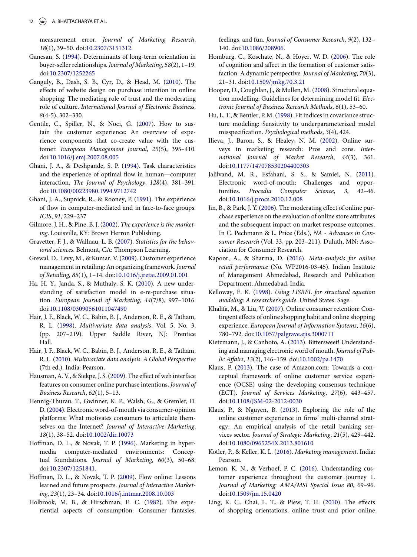measurement error. *Journal of Marketing Research*, *18*(1), 39–50. doi[:10.2307/3151312.](https://doi.org/10.2307/3151312)

- <span id="page-12-15"></span>Ganesan, S. [\(1994\)](#page-5-9). Determinants of long-term orientation in buyer-seller relationships. *Journal of Marketing*, *58*(2), 1–19. doi[:10.2307/1252265](https://doi.org/10.2307/1252265)
- <span id="page-12-27"></span>Ganguly, B., Dash, S. B., Cyr, D., & Head, M. [\(2010\)](#page-7-8). The effects of website design on purchase intention in online shopping: The mediating role of trust and the moderating role of culture. *International Journal of Electronic Business*, *8*(4-5), 302–330.
- <span id="page-12-0"></span>Gentile, C., Spiller, N., & Noci, G. [\(2007\)](#page-1-2). How to sustain the customer experience: An overview of experience components that co-create value with the customer. *European Management Journal*, *25*(5), 395–410. doi[:10.1016/j.emj.2007.08.005](https://doi.org/10.1016/j.emj.2007.08.005)
- <span id="page-12-9"></span>Ghani, J. A., & Deshpande, S. P. [\(1994\)](#page-3-1). Task characteristics and the experience of optimal flow in human—computer interaction. *The Journal of Psychology*, *128*(4), 381–391. doi[:10.1080/00223980.1994.9712742](https://doi.org/10.1080/00223980.1994.9712742)
- <span id="page-12-10"></span>Ghani, J. A., Supnick, R., & Rooney, P. [\(1991\)](#page-3-2). The experience of flow in computer-mediated and in face-to-face groups. *ICIS*, *91*, 229–237
- <span id="page-12-2"></span>Gilmore, J. H., & Pine, B. J. [\(2002\)](#page-2-3). *The experience is the marketing*. Louisville, KY: Brown Herron Publishing.
- <span id="page-12-29"></span>Gravetter, F. J., & Wallnau, L. B. [\(2007\)](#page-7-9). *Statistics for the behavioral sciences*. Belmont, CA: Thompson Learning.
- <span id="page-12-3"></span>Grewal, D., Levy, M., & Kumar, V. [\(2009\)](#page-2-4). Customer experience management in retailing: An organizing framework.*Journal of Retailing*, *85*(1), 1–14. doi[:10.1016/j.jretai.2009.01.001](https://doi.org/10.1016/j.jretai.2009.01.001)
- <span id="page-12-19"></span>Ha, H. Y., Janda, S., & Muthaly, S. K. [\(2010\)](#page-5-10). A new understanding of satisfaction model in e-re-purchase situation. *European Journal of Marketing*, *44*(7/8), 997–1016. doi[:10.1108/03090561011047490](https://doi.org/10.1108/03090561011047490)
- <span id="page-12-23"></span>Hair, J. F., Black, W. C., Babin, B. J., Anderson, R. E., & Tatham, R. L. [\(1998\)](#page-7-10). *Multivariate data analysis*, Vol. 5, No. 3, (pp. 207–219). Upper Saddle River, NJ: Prentice Hall.
- <span id="page-12-28"></span>Hair, J. F., Black, W. C., Babin, B. J., Anderson, R. E., & Tatham, R. L. [\(2010\)](#page-7-11). *Multivariate data analysis*: *A Global Perspective* (7th ed.). India: Pearson.
- <span id="page-12-26"></span>Hausman, A. V., & Siekpe, J. S. [\(2009\)](#page-7-12). The effect of web interface features on consumer online purchase intentions. *Journal of Business Research*, *62*(1), 5–13.
- <span id="page-12-13"></span>Hennig-Thurau, T., Gwinner, K. P., Walsh, G., & Gremler, D. D. [\(2004\)](#page-4-2). Electronic word-of-mouth via consumer-opinion platforms: What motivates consumers to articulate themselves on the Internet? *Journal of Interactive Marketing*, *18*(1), 38–52. doi[:10.1002/dir.10073](https://doi.org/10.1002/dir.10073)
- <span id="page-12-5"></span>Hoffman, D. L., & Novak, T. P. [\(1996\)](#page-3-3). Marketing in hypermedia computer-mediated environments: Conceptual foundations. *Journal of Marketing*, *60*(3), 50–68. doi[:10.2307/1251841.](https://doi.org/10.2307/1251841)
- <span id="page-12-8"></span>Hoffman, D. L., & Novak, T. P. [\(2009\)](#page-3-4). Flow online: Lessons learned and future prospects. *Journal of Interactive Marketing*, *23*(1), 23–34. doi[:10.1016/j.intmar.2008.10.003](https://doi.org/10.1016/j.intmar.2008.10.003)
- <span id="page-12-1"></span>Holbrook, M. B., & Hirschman, E. C. [\(1982\)](#page-2-5). The experiential aspects of consumption: Consumer fantasies,

feelings, and fun. *Journal of Consumer Research*, *9*(2), 132– 140. doi[:10.1086/208906.](https://doi.org/10.1086/208906)

- <span id="page-12-16"></span>Homburg, C., Koschate, N., & Hoyer, W. D. [\(2006\)](#page-5-11). The role of cognition and affect in the formation of customer satisfaction: A dynamic perspective. *Journal of Marketing*, *70*(3), 21–31. doi[:10.1509/jmkg.70.3.21](https://doi.org/10.1509/jmkg.70.3.21)
- <span id="page-12-25"></span>Hooper, D., Coughlan, J., & Mullen, M. [\(2008\)](#page-7-13). Structural equation modelling: Guidelines for determining model fit. *Electronic Journal of Business Research Methods*, *6*(1), 53–60.
- <span id="page-12-30"></span>Hu, L. T., & Bentler, P. M. [\(1998\)](#page-8-5). Fit indices in covariance structure modeling: Sensitivity to underparameterized model misspecification. *Psychological methods*, *3*(4), 424.
- <span id="page-12-21"></span>Ilieva, J., Baron, S., & Healey, N. M. [\(2002\)](#page-6-2). Online surveys in marketing research: Pros and cons. *International Journal of Market Research*, *44*(3), 361. doi[:10.1177/147078530204400303](https://doi.org/10.1177/147078530204400303)
- <span id="page-12-22"></span>Jalilvand, M. R., Esfahani, S. S., & Samiei, N. [\(2011\)](#page-6-3). Electronic word-of-mouth: Challenges and opportunities. *Procedia Computer Science*, *3*, 42–46. doi[:10.1016/j.procs.2010.12.008](https://doi.org/10.1016/j.procs.2010.12.008)
- <span id="page-12-17"></span>Jin, B., & Park, J. Y. [\(2006\)](#page-5-12). The moderating effect of online purchase experience on the evaluation of online store attributes and the subsequent impact on market response outcomes. In C. Pechmann & L. Price (Eds.), *NA - Advances in Consumer Research* (Vol. 33, pp. 203–211). Duluth, MN: Association for Consumer Research.
- <span id="page-12-12"></span>Kapoor, A., & Sharma, D. [\(2016\)](#page-4-3). *Meta-analysis for online retail performance* (No. WP2016-03-45). Indian Institute of Management Ahmedabad, Research and Publication Department, Ahmedabad, India.
- <span id="page-12-24"></span>Kelloway, E. K. [\(1998\)](#page-7-14). *Using LISREL for structural equation modeling: A researcher's guide*. United States: Sage.
- <span id="page-12-18"></span>Khalifa, M., & Liu, V. [\(2007\)](#page-5-13). Online consumer retention: Contingent effects of online shopping habit and online shopping experience. *European Journal of Information Systems*, *16*(6), 780–792. doi[:10.1057/palgrave.ejis.3000711](https://doi.org/10.1057/palgrave.ejis.3000711)
- <span id="page-12-14"></span>Kietzmann, J., & Canhoto, A. [\(2013\)](#page-4-4). Bittersweet! Understanding and managing electronic word of mouth. *Journal of Public Affairs*, *13*(2), 146–159. doi[:10.1002/pa.1470](https://doi.org/10.1002/pa.1470)
- <span id="page-12-6"></span>Klaus, P. [\(2013\)](#page-3-5). The case of Amazon.com: Towards a conceptual framework of online customer service experience (OCSE) using the developing consensus technique (ECT). *Journal of Services Marketing*, *27*(6), 443–457. doi[:10.1108/JSM-02-2012-0030](https://doi.org/10.1108/JSM-02-2012-0030)
- <span id="page-12-7"></span>Klaus, P., & Nguyen, B. [\(2013\)](#page-3-6). Exploring the role of the online customer experience in firms' multi-channel strategy: An empirical analysis of the retail banking services sector. *Journal of Strategic Marketing*, *21*(5), 429–442. doi[:10.1080/0965254X.2013.801610](https://doi.org/10.1080/0965254X.2013.801610)
- <span id="page-12-11"></span>Kotler, P., & Keller, K. L. [\(2016\)](#page-4-5). *Marketing management*. India: Pearson.
- <span id="page-12-4"></span>Lemon, K. N., & Verhoef, P. C. [\(2016\)](#page-3-7). Understanding customer experience throughout the customer journey 1. *Journal of Marketing: AMA/MSI Special Issue 80*, 69–96. doi[:10.1509/jm.15.0420](https://doi.org/10.1509/jm.15.0420)
- <span id="page-12-20"></span>Ling, K. C., Chai, L. T., & Piew, T. H. [\(2010\)](#page-5-14). The effects of shopping orientations, online trust and prior online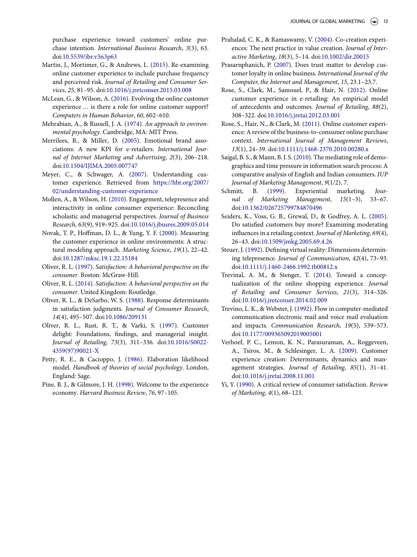purchase experience toward customers' online purchase intention. *International Business Research*, *3*(3), 63. doi[:10.5539/ibr.v3n3p63](https://doi.org/10.5539/ibr.v3n3p63)

- <span id="page-13-2"></span>Martin, J., Mortimer, G., & Andrews, L. [\(2015\)](#page-1-3). Re-examining online customer experience to include purchase frequency and perceived risk. *Journal of Retailing and Consumer Services*, *25*, 81–95. doi[:10.1016/j.jretconser.2015.03.008](https://doi.org/10.1016/j.jretconser.2015.03.008)
- <span id="page-13-0"></span>McLean, G., & Wilson, A. [\(2016\)](#page-1-4). Evolving the online customer experience … is there a role for online customer support? *Computers in Human Behavior*, *60*, 602–610.
- <span id="page-13-21"></span>Mehrabian, A., & Russell, J. A. [\(1974\)](#page-5-15). *An approach to environmental psychology*. Cambridge, MA: MIT Press.
- <span id="page-13-14"></span>Merrilees, B., & Miller, D. [\(2005\)](#page-4-6). Emotional brand associations: A new KPI for e-retailers. *International Journal of Internet Marketing and Advertising*, *2*(3), 206–218. doi[:10.1504/IJIMA.2005.007747](https://doi.org/10.1504/IJIMA.2005.007747)
- <span id="page-13-7"></span>Meyer, C., & Schwager, A. [\(2007\)](#page-2-6). Understanding customer experience. Retrieved from https://hbr.org/2007/ [02/understanding-customer-experience](https://hbr.org/2007/02/understanding-customer-experience)
- <span id="page-13-12"></span>Mollen, A., & Wilson, H. [\(2010\)](#page-3-8). Engagement, telepresence and interactivity in online consumer experience: Reconciling scholastic and managerial perspectives. *Journal of Business Research*, *63*(9), 919–925. doi[:10.1016/j.jbusres.2009.05.014](https://doi.org/10.1016/j.jbusres.2009.05.014)
- <span id="page-13-10"></span>Novak, T. P., Hoffman, D. L., & Yung, Y. F. [\(2000\)](#page-3-9). Measuring the customer experience in online environments: A structural modeling approach. *Marketing Science*, *19*(1), 22–42. doi[:10.1287/mksc.19.1.22.15184](https://doi.org/10.1287/mksc.19.1.22.15184)
- <span id="page-13-17"></span>Oliver, R. L. [\(1997\)](#page-5-16). *Satisfaction: A behavioral perspective on the consumer*. Boston: McGraw-Hill.
- <span id="page-13-16"></span>Oliver, R. L. [\(2014\)](#page-5-17). *Satisfaction: A behavioral perspective on the consumer*. United Kingdom: Routledge.
- <span id="page-13-18"></span>Oliver, R. L., & DeSarbo, W. S. [\(1988\)](#page-5-18). Response determinants in satisfaction judgments. *Journal of Consumer Research*, *14*(4), 495–507. doi[:10.1086/209131](https://doi.org/10.1086/209131)
- Oliver, R. L., Rust, R. T., & Varki, S. (1997). Customer delight: Foundations, findings, and managerial insight. *Journal of Retailing*, *73*[\(3\), 311–336. doi:10.1016/S0022-](https://doi.org/10.1016/S0022-4359(97)90021-X) 4359(97)90021-X
- <span id="page-13-23"></span>Petty, R. E., & Cacioppo, J. [\(1986\)](#page-10-1). Elaboration likelihood model. *Handbook of theories of social psychology*. London, England: Sage.
- <span id="page-13-4"></span>Pine, B. J., & Gilmore, J. H. [\(1998\)](#page-2-7). Welcome to the experience economy. *Harvard Business Review*, *76*, 97–105.
- <span id="page-13-6"></span>Prahalad, C. K., & Ramaswamy, V. [\(2004\)](#page-2-8). Co-creation experiences: The next practice in value creation. *Journal of Interactive Marketing*, *18*(3), 5–14. doi[:10.1002/dir.20015](https://doi.org/10.1002/dir.20015)
- <span id="page-13-15"></span>Prasarnphanich, P. [\(2007\)](#page-5-19). Does trust matter to develop customer loyalty in online business. *International Journal of the Computer, the Internet and Management*, *15*, 23.1–23.7.
- <span id="page-13-3"></span>Rose, S., Clark, M., Samouel, P., & Hair, N. [\(2012\)](#page-1-5). Online customer experience in e-retailing: An empirical model of antecedents and outcomes. *Journal of Retailing*, *88*(2), 308–322. doi[:10.1016/j.jretai.2012.03.001](https://doi.org/10.1016/j.jretai.2012.03.001)
- <span id="page-13-1"></span>Rose, S., Hair, N., & Clark, M. [\(2011\)](#page-1-6). Online customer experience: A review of the business-to-consumer online purchase context. *International Journal of Management Reviews*, *13*(1), 24–39. doi[:10.1111/j.1468-2370.2010.00280.x](https://doi.org/10.1111/j.1468-2370.2010.00280.x)
- <span id="page-13-22"></span>Saigal, B. S., & Mann, B. J. S. [\(2010\)](#page-5-20). The mediating role of demographics and time pressure in information search process: A comparative analysis of English and Indian consumers. *IUP Journal of Marketing Management*, *9*(1/2), 7.
- <span id="page-13-5"></span>Schmitt, B. [\(1999\)](#page-2-9). Experiential marketing. *Journal of Marketing Management*, *15*(1–3), 53–67. doi[:10.1362/026725799784870496](https://doi.org/10.1362/026725799784870496)
- <span id="page-13-20"></span>Seiders, K., Voss, G. B., Grewal, D., & Godfrey, A. L. [\(2005\)](#page-5-21). Do satisfied customers buy more? Examining moderating influences in a retailing context. *Journal of Marketing*, *69*(4), 26–43. doi[:10.1509/jmkg.2005.69.4.26](https://doi.org/10.1509/jmkg.2005.69.4.26)
- <span id="page-13-11"></span>Steuer, J. [\(1992\)](#page-3-10). Defining virtual reality: Dimensions determining telepresence. *Journal of Communication*, *42*(4), 73–93. doi[:10.1111/j.1460-2466.1992.tb00812.x](https://doi.org/10.1111/j.1460-2466.1992.tb00812.x)
- <span id="page-13-9"></span>Trevinal, A. M., & Stenger, T. [\(2014\)](#page-3-11). Toward a conceptualization of the online shopping experience. *Journal of Retailing and Consumer Services*, *21*(3), 314–326. doi[:10.1016/j.jretconser.2014.02.009](https://doi.org/10.1016/j.jretconser.2014.02.009)
- <span id="page-13-13"></span>Trevino, L. K., & Webster, J. [\(1992\)](#page-3-12). Flow in computer-mediated communication electronic mail and voice mail evaluation and impacts. *Communication Research*, *19*(5), 539–573. doi[:10.1177/009365092019005001](https://doi.org/10.1177/009365092019005001)
- <span id="page-13-8"></span>Verhoef, P. C., Lemon, K. N., Parasuraman, A., Roggeveen, A., Tsiros, M., & Schlesinger, L. A. [\(2009\)](#page-2-10). Customer experience creation: Determinants, dynamics and management strategies. *Journal of Retailing*, *85*(1), 31–41. doi[:10.1016/j.jretai.2008.11.001](https://doi.org/10.1016/j.jretai.2008.11.001)
- <span id="page-13-19"></span>Yi, Y. [\(1990\)](#page-5-22). A critical review of consumer satisfaction. *Review of Marketing*, *4*(1), 68–123.